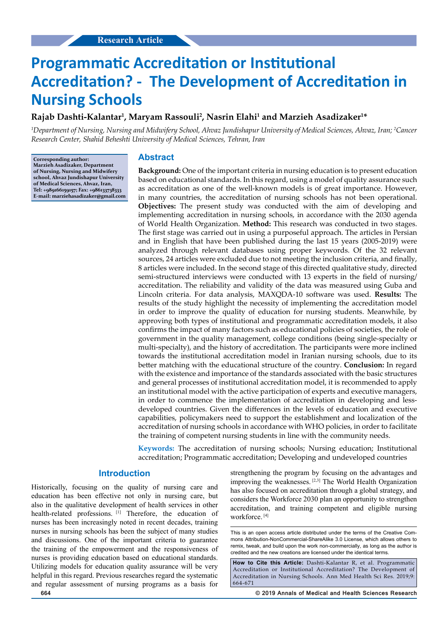# **Programmatic Accreditation or Institutional Accreditation? - The Development of Accreditation in Nursing Schools**

# $\boldsymbol{\mathsf{Ray}}$ ab Dashti-Kalantar<sup>1</sup>, Maryam Rassouli<sup>2</sup>, Nasrin Elahi<sup>1</sup> and Marzieh Asadizaker<sup>1\*</sup>

*1 Department of Nursing, Nursing and Midwifery School, Ahvaz Jundishapur University of Medical Sciences, Ahvaz, Iran; 2 Cancer Research Center, Shahid Beheshti University of Medical Sciences, Tehran, Iran*

**Corresponding author: Marzieh Asadizaker, Department of Nursing, Nursing and Midwifery school, Ahvaz Jundishapur University of Medical Sciences, Ahvaz, Iran, Tel: +989166159157; Fax: +986133738333 E-mail: marziehasadizaker@gmail.com**

# **Abstract**

**Background:** One of the important criteria in nursing education is to present education based on educational standards. In this regard, using a model of quality assurance such as accreditation as one of the well-known models is of great importance. However, in many countries, the accreditation of nursing schools has not been operational. **Objectives:** The present study was conducted with the aim of developing and implementing accreditation in nursing schools, in accordance with the 2030 agenda of World Health Organization. **Method:** This research was conducted in two stages. The first stage was carried out in using a purposeful approach. The articles in Persian and in English that have been published during the last 15 years (2005-2019) were analyzed through relevant databases using proper keywords. Of the 32 relevant sources, 24 articles were excluded due to not meeting the inclusion criteria, and finally, 8 articles were included. In the second stage of this directed qualitative study, directed semi-structured interviews were conducted with 13 experts in the field of nursing/ accreditation. The reliability and validity of the data was measured using Guba and Lincoln criteria. For data analysis, MAXQDA-10 software was used. **Results:** The results of the study highlight the necessity of implementing the accreditation model in order to improve the quality of education for nursing students. Meanwhile, by approving both types of institutional and programmatic accreditation models, it also confirms the impact of many factors such as educational policies of societies, the role of government in the quality management, college conditions (being single-specialty or multi-specialty), and the history of accreditation. The participants were more inclined towards the institutional accreditation model in Iranian nursing schools, due to its better matching with the educational structure of the country. **Conclusion:** In regard with the existence and importance of the standards associated with the basic structures and general processes of institutional accreditation model, it is recommended to apply an institutional model with the active participation of experts and executive managers, in order to commence the implementation of accreditation in developing and lessdeveloped countries. Given the differences in the levels of education and executive capabilities, policymakers need to support the establishment and localization of the accreditation of nursing schools in accordance with WHO policies, in order to facilitate the training of competent nursing students in line with the community needs.

**Keywords:** The accreditation of nursing schools; Nursing education; Institutional accreditation; Programmatic accreditation; Developing and undeveloped countries

## **Introduction**

Historically, focusing on the quality of nursing care and education has been effective not only in nursing care, but also in the qualitative development of health services in other health-related professions. [1] Therefore, the education of nurses has been increasingly noted in recent decades, training nurses in nursing schools has been the subject of many studies and discussions. One of the important criteria to guarantee the training of the empowerment and the responsiveness of nurses is providing education based on educational standards. Utilizing models for education quality assurance will be very helpful in this regard. Previous researches regard the systematic and regular assessment of nursing programs as a basis for strengthening the program by focusing on the advantages and improving the weaknesses. [2,3] The World Health Organization has also focused on accreditation through a global strategy, and considers the Workforce 2030 plan an opportunity to strengthen accreditation, and training competent and eligible nursing workforce. [4]

**How to Cite this Article:** Dashti-Kalantar R, et al. Programmatic Accreditation or Institutional Accreditation? The Development of Accreditation in Nursing Schools. Ann Med Health Sci Res. 2019;9: 664-671

This is an open access article distributed under the terms of the Creative Com‑ mons Attribution‑NonCommercial‑ShareAlike 3.0 License, which allows others to remix, tweak, and build upon the work non-commercially, as long as the author is credited and the new creations are licensed under the identical terms.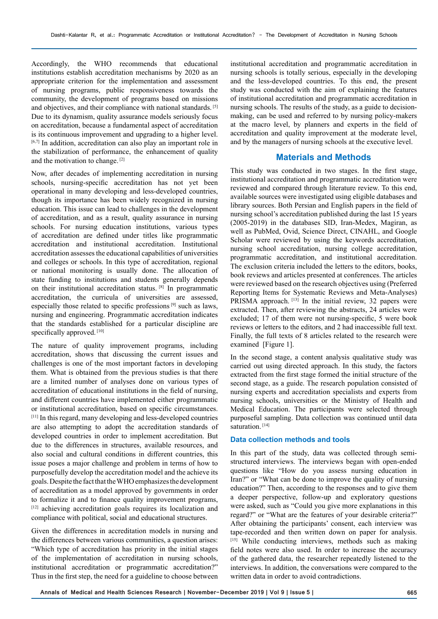Accordingly, the WHO recommends that educational institutions establish accreditation mechanisms by 2020 as an appropriate criterion for the implementation and assessment of nursing programs, public responsiveness towards the community, the development of programs based on missions and objectives, and their compliance with national standards. [5] Due to its dynamism, quality assurance models seriously focus on accreditation, because a fundamental aspect of accreditation is its continuous improvement and upgrading to a higher level. [6,7] In addition, accreditation can also play an important role in the stabilization of performance, the enhancement of quality and the motivation to change. [2]

Now, after decades of implementing accreditation in nursing schools, nursing-specific accreditation has not yet been operational in many developing and less-developed countries, though its importance has been widely recognized in nursing education. This issue can lead to challenges in the development of accreditation, and as a result, quality assurance in nursing schools. For nursing education institutions, various types of accreditation are defined under titles like programmatic accreditation and institutional accreditation. Institutional accreditation assesses the educational capabilities of universities and colleges or schools. In this type of accreditation, regional or national monitoring is usually done. The allocation of state funding to institutions and students generally depends on their institutional accreditation status. [8] In programmatic accreditation, the curricula of universities are assessed, especially those related to specific professions [9] such as laws, nursing and engineering. Programmatic accreditation indicates that the standards established for a particular discipline are specifically approved. [10]

The nature of quality improvement programs, including accreditation, shows that discussing the current issues and challenges is one of the most important factors in developing them. What is obtained from the previous studies is that there are a limited number of analyses done on various types of accreditation of educational institutions in the field of nursing, and different countries have implemented either programmatic or institutional accreditation, based on specific circumstances. [11] In this regard, many developing and less-developed countries are also attempting to adopt the accreditation standards of developed countries in order to implement accreditation. But due to the differences in structures, available resources, and also social and cultural conditions in different countries, this issue poses a major challenge and problem in terms of how to purposefully develop the accreditation model and the achieve its goals. Despite the fact that the WHO emphasizes the development of accreditation as a model approved by governments in order to formalize it and to finance quality improvement programs, [12] achieving accreditation goals requires its localization and compliance with political, social and educational structures.

Given the differences in accreditation models in nursing and the differences between various communities, a question arises: "Which type of accreditation has priority in the initial stages of the implementation of accreditation in nursing schools, institutional accreditation or programmatic accreditation?" Thus in the first step, the need for a guideline to choose between

institutional accreditation and programmatic accreditation in nursing schools is totally serious, especially in the developing and the less-developed countries. To this end, the present study was conducted with the aim of explaining the features of institutional accreditation and programmatic accreditation in nursing schools. The results of the study, as a guide to decisionmaking, can be used and referred to by nursing policy-makers at the macro level, by planners and experts in the field of accreditation and quality improvement at the moderate level, and by the managers of nursing schools at the executive level.

## **Materials and Methods**

This study was conducted in two stages. In the first stage, institutional accreditation and programmatic accreditation were reviewed and compared through literature review. To this end, available sources were investigated using eligible databases and library sources. Both Persian and English papers in the field of nursing school's accreditation published during the last 15 years (2005-2019) in the databases SID, Iran-Medex, Magiran, as well as PubMed, Ovid, Science Direct, CINAHL, and Google Scholar were reviewed by using the keywords accreditation, nursing school accreditation, nursing college accreditation, programmatic accreditation, and institutional accreditation. The exclusion criteria included the letters to the editors, books, book reviews and articles presented at conferences. The articles were reviewed based on the research objectives using (Preferred Reporting Items for Systematic Reviews and Meta-Analyses) PRISMA approach. [13] In the initial review, 32 papers were extracted. Then, after reviewing the abstracts, 24 articles were excluded; 17 of them were not nursing-specific, 5 were book reviews or letters to the editors, and 2 had inaccessible full text. Finally, the full texts of 8 articles related to the research were examined [Figure 1].

In the second stage, a content analysis qualitative study was carried out using directed approach. In this study, the factors extracted from the first stage formed the initial structure of the second stage, as a guide. The research population consisted of nursing experts and accreditation specialists and experts from nursing schools, universities or the Ministry of Health and Medical Education. The participants were selected through purposeful sampling. Data collection was continued until data saturation.<sup>[14]</sup>

## **Data collection methods and tools**

In this part of the study, data was collected through semistructured interviews. The interviews began with open-ended questions like "How do you assess nursing education in Iran?" or "What can be done to improve the quality of nursing education?" Then, according to the responses and to give them a deeper perspective, follow-up and exploratory questions were asked, such as "Could you give more explanations in this regard?" or "What are the features of your desirable criteria?" After obtaining the participants' consent, each interview was tape-recorded and then written down on paper for analysis. [15] While conducting interviews, methods such as making field notes were also used. In order to increase the accuracy of the gathered data, the researcher repeatedly listened to the interviews. In addition, the conversations were compared to the written data in order to avoid contradictions.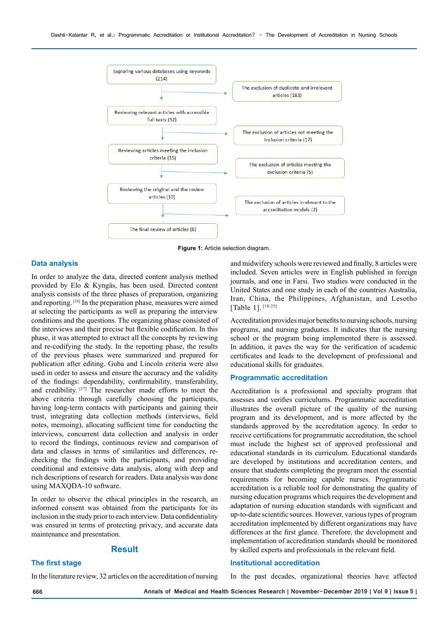

**Figure 1:** Article selection diagram.

#### **Data analysis**

In order to analyze the data, directed content analysis method provided by Elo & Kyngäs, has been used. Directed content analysis consists of the three phases of preparation, organizing and reporting. [16] In the preparation phase, measures were aimed at selecting the participants as well as preparing the interview conditions and the questions. The organizing phase consisted of the interviews and their precise but flexible codification. In this phase, it was attempted to extract all the concepts by reviewing and re-codifying the study. In the reporting phase, the results of the previous phases were summarized and prepared for publication after editing. Guba and Lincoln criteria were also used in order to assess and ensure the accuracy and the validity of the findings: dependability, confirmability, transferability, and credibility. [17] The researcher made efforts to meet the above criteria through carefully choosing the participants, having long-term contacts with participants and gaining their trust, integrating data collection methods (interviews, field notes, memoing), allocating sufficient time for conducting the interviews, concurrent data collection and analysis in order to record the findings, continuous review and comparison of data and classes in terms of similarities and differences, rechecking the findings with the participants, and providing conditional and extensive data analysis, along with deep and rich descriptions of research for readers. Data analysis was done using MAXQDA-10 software.

In order to observe the ethical principles in the research, an informed consent was obtained from the participants for its inclusion in the study prior to each interview. Data confidentiality was ensured in terms of protecting privacy, and accurate data maintenance and presentation.

### **Result**

# **The first stage**

In the literature review, 32 articles on the accreditation of nursing

and midwifery schools were reviewed and finally, 8 articles were included. Seven articles were in English published in foreign journals, and one in Farsi. Two studies were conducted in the United States and one study in each of the countries Australia, Iran, China, the Philippines, Afghanistan, and Lesotho [Table 1].<sup>[18-25]</sup>

Accreditation provides major benefits to nursing schools, nursing programs, and nursing graduates. It indicates that the nursing school or the program being implemented there is assessed. In addition, it paves the way for the verification of academic certificates and leads to the development of professional and educational skills for graduates.

#### **Programmatic accreditation**

Accreditation is a professional and specialty program that assesses and verifies curriculums. Programmatic accreditation illustrates the overall picture of the quality of the nursing program and its development, and is more affected by the standards approved by the accreditation agency. In order to receive certifications for programmatic accreditation, the school must include the highest set of approved professional and educational standards in its curriculum. Educational standards are developed by institutions and accreditation centers, and ensure that students completing the program meet the essential requirements for becoming capable nurses. Programmatic accreditation is a reliable tool for demonstrating the quality of nursing education programs which requires the development and adaptation of nursing education standards with significant and up-to-date scientific sources. However, various types of program accreditation implemented by different organizations may have differences at the first glance. Therefore, the development and implementation of accreditation standards should be monitored by skilled experts and professionals in the relevant field.

## **Institutional accreditation**

In the past decades, organizational theories have affected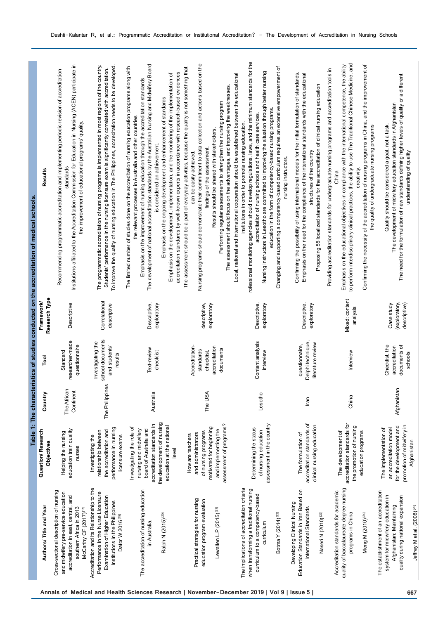|                                                                                                                                                                                        |                                                                                                                                                                                |                          |                                                                         |                                             | Table 1: The characteristics of studies conducted on the accreditation of medical schools.                                                                                                                                                                                                                                                                                                                                                                                                                                                                                                                                                             |
|----------------------------------------------------------------------------------------------------------------------------------------------------------------------------------------|--------------------------------------------------------------------------------------------------------------------------------------------------------------------------------|--------------------------|-------------------------------------------------------------------------|---------------------------------------------|--------------------------------------------------------------------------------------------------------------------------------------------------------------------------------------------------------------------------------------------------------------------------------------------------------------------------------------------------------------------------------------------------------------------------------------------------------------------------------------------------------------------------------------------------------------------------------------------------------------------------------------------------------|
| Authors/Title and Year                                                                                                                                                                 | Question/Research<br>Objectives                                                                                                                                                | Country                  | Tool                                                                    | Research Type<br>Framework                  | Results                                                                                                                                                                                                                                                                                                                                                                                                                                                                                                                                                                                                                                                |
| Cross-sectional description of nursing<br>and midwifery pre-service education<br>accreditation in east, central, and<br>southern Africa in 2013<br>McCarthy CF (2017) <sup>[18]</sup>  | education train quality<br>Helping the nursing<br>nurses                                                                                                                       | The African<br>Continent | researcher-made<br>questionnaire<br>Standard                            | Descriptive                                 | Institutions affiliated to the Accreditation Commission for Education in Nursing (ACEN) participate in<br>Recommending programmatic accreditation and implementing periodic revision of accreditation<br>the improvement of educational programs' quality.<br>standards                                                                                                                                                                                                                                                                                                                                                                                |
| Accreditation and its Relationship to the<br>Performance in the Nurse Licensure<br>Examination of Higher Education<br>Institutions in the Philippines<br>Dator W 2016 <sup>[19]</sup>  | performance in nursing<br>the accreditation and<br>relationship between<br>licensure exams<br>Investigating the                                                                | The Philippines          | school documents<br>Investigating the<br>and students'<br>results       | Correlational<br>descriptive                | The programmatic accreditation of nursing programs is implemented in most regions of the country.<br>To improve the quality of nursing education in The Philippines, accreditation needs to be developed<br>Students' performance in the nursing licensure exam is significantly correlated with accreditation.                                                                                                                                                                                                                                                                                                                                        |
| The accreditation of nursing education<br>Ralph N (2015) <sup>[20]</sup><br>in Australia.                                                                                              | the development of nursing<br>accreditation standards in<br>education at the national<br>Investigating the role of<br>board of Australia and<br>nursing and midwifery<br>level | Australia                | Text-review<br>checklist                                                | Descriptive,<br>exploratory                 | The development of national accreditation standards by the Australian Nursing and Midwifery Board<br>The limited number of studies done on the accreditation of nursing education programs along with<br>accreditation standards by well-known experts in accordance with research-based evidences<br>Emphasis on the development, implementation, and the monitoring of the implementation of<br>Emphasis on the improvement of nursing education through the accreditation standards<br>Emphasis on the ongoing development and enhancement of standards<br>the relevant processes in Australia and other countries<br>is considered an achievement. |
| Practical strategies for nursing<br>education program evaluation<br>Lewallen L.P $(2015)^{[21]}$                                                                                       | assessment of programs?<br>motivated for beginning<br>and implementing the<br>of nursing programs<br>and administrators<br>How are teachers                                    | The USA                  | Accreditation-<br>accreditation<br>documents<br>standards<br>checklist, | exploratory<br>descriptive,                 | Nursing programs should demonstrate their commitment to data collection and actions based on the<br>The assessment should be a part of everyday activities, because the quality is not something that<br>The assessment should focus on the advantages, and improving the weaknesses.<br>Performing regular assessments to strengthen the nursing program<br>Results should be shared with stakeholders.<br>findings of the assessment<br>can be easily achieved.                                                                                                                                                                                      |
| The implications of accreditation criteria<br>when transforming a traditional nursing<br>curriculum to a competency-based<br>Botma Y (2014) <sup>[22]</sup><br>curriculum              | assessment in the country<br>Determining the status<br>of nursing education                                                                                                    | Lesotho                  | Content analysis<br>interview                                           | exploratory<br>Descriptive                  | rofessional monitoring agencies should develop regulations, laws, and the minimum standards for the<br>Changing and supporting a competency-based curriculum requires an extensive empowerment of<br>Nursing instructors in Lesotho are committed to improving the situation through better nursing<br>Local, national and international cooperation should be established between the educational<br>education in the form of competency-based nursing programs.<br>accreditation of nursing schools and health care services.<br>institutions in order to promote nursing education.<br>nursing instructors.                                         |
| Education Standards in Iran Based on<br>Developing Clinical Nursing<br>International Standards<br>Naseri N (2010) <sup>[23]</sup>                                                      | accreditation standards of<br>clinical nursing education<br>The formulation of                                                                                                 | lran                     | Delphi technique,<br>literature review<br>questionnaire,                | exploratory<br>Descriptive,                 | Confirming the possibility of using international models for the initial formulation of standards.<br>Emphasis on the need for the compliance of the international standards with the educational<br>Proposing 55 localized standards for the accreditation of clinical nursing education<br>structures of the country                                                                                                                                                                                                                                                                                                                                 |
| quality of baccalaureate degree nursing<br>Accreditation standards for academic<br>programs in China<br>Meng M (2010) <sup>[24]</sup>                                                  | accreditation standards for<br>the promotion of nursing<br>education programs<br>The development of                                                                            | China                    | Interview                                                               | Mixed: content<br>analysis                  | to perform interdisciplinary clinical practices, the ability to use The Traditional Chinese Medicine, and<br>Emphasis on the educational objectives in compliance with the international competence, the ability<br>Confirming the necessity of the accreditation of nursing programs in China, and the improvement of<br>Providing accreditation standards for undergraduate nursing programs and accreditation tools in<br>the quality of undergraduate nursing programs<br>creativity.<br>China                                                                                                                                                     |
| The establishment of an accreditation<br>system for midwifery education in<br>quality during national expansion<br>Afghanistan: Maintaining<br>Jeffrey M et al. (2008) <sup>[25]</sup> | promotion of midwifery in<br>for the development and<br>The implementation of<br>an accreditation model<br>Afghanistan                                                         | Afghanistan              | Checklist, the<br>documents of<br>accreditation<br>schools              | (exploratory,<br>descriptive)<br>Case study | The need for the formulation of new standards defining higher levels of quality or a different<br>The development of midwifery education standards in Afghanistan<br>Quality should be considered a goal, not a task.<br>understanding of quality                                                                                                                                                                                                                                                                                                                                                                                                      |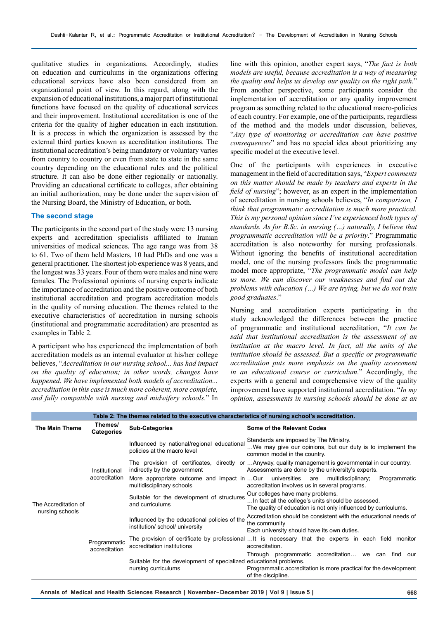qualitative studies in organizations. Accordingly, studies on education and curriculums in the organizations offering educational services have also been considered from an organizational point of view. In this regard, along with the expansion of educational institutions, a major part of institutional functions have focused on the quality of educational services and their improvement. Institutional accreditation is one of the criteria for the quality of higher education in each institution. It is a process in which the organization is assessed by the external third parties known as accreditation institutions. The institutional accreditation's being mandatory or voluntary varies from country to country or even from state to state in the same country depending on the educational rules and the political structure. It can also be done either regionally or nationally. Providing an educational certificate to colleges, after obtaining an initial authorization, may be done under the supervision of the Nursing Board, the Ministry of Education, or both.

#### **The second stage**

The participants in the second part of the study were 13 nursing experts and accreditation specialists affiliated to Iranian universities of medical sciences. The age range was from 38 to 61. Two of them held Masters, 10 had PhDs and one was a general practitioner. The shortest job experience was 8 years, and the longest was 33 years. Four of them were males and nine were females. The Professional opinions of nursing experts indicate the importance of accreditation and the positive outcome of both institutional accreditation and program accreditation models in the quality of nursing education. The themes related to the executive characteristics of accreditation in nursing schools (institutional and programmatic accreditation) are presented as examples in Table 2.

A participant who has experienced the implementation of both accreditation models as an internal evaluator at his/her college believes, "*Accreditation in our nursing school... has had impact on the quality of education; in other words, changes have happened. We have implemented both models of accreditation... accreditation in this case is much more coherent, more complete, and fully compatible with nursing and midwifery schools*." In

line with this opinion, another expert says, "*The fact is both models are useful, because accreditation is a way of measuring the quality and helps us develop our quality on the right path.*" From another perspective, some participants consider the implementation of accreditation or any quality improvement program as something related to the educational macro-policies of each country. For example, one of the participants, regardless of the method and the models under discussion, believes, "*Any type of monitoring or accreditation can have positive consequences*" and has no special idea about prioritizing any specific model at the executive level.

One of the participants with experiences in executive management in the field of accreditation says, "*Expert comments on this matter should be made by teachers and experts in the field of nursing*"; however, as an expert in the implementation of accreditation in nursing schools believes, "*In comparison, I think that programmatic accreditation is much more practical. This is my personal opinion since I've experienced both types of standards. As for B.Sc. in nursing (…) naturally, I believe that programmatic accreditation will be a priority*." Programmatic accreditation is also noteworthy for nursing professionals. Without ignoring the benefits of institutional accreditation model, one of the nursing professors finds the programmatic model more appropriate, "*The programmatic model can help us more. We can discover our weaknesses and find out the problems with education (…) We are trying, but we do not train good graduates*."

Nursing and accreditation experts participating in the study acknowledged the differences between the practice of programmatic and institutional accreditation, "*It can be said that institutional accreditation is the assessment of an*  institution at the macro level. In fact, all the units of the *institution should be assessed. But a specific or programmatic accreditation puts more emphasis on the quality assessment in an educational course or curriculum*." Accordingly, the experts with a general and comprehensive view of the quality improvement have supported institutional accreditation. "*In my opinion, assessments in nursing schools should be done at an* 

|                                         | Table 2: The themes related to the executive characteristics of nursing school's accreditation. |                                                                                          |                                                                                                                                                            |  |  |
|-----------------------------------------|-------------------------------------------------------------------------------------------------|------------------------------------------------------------------------------------------|------------------------------------------------------------------------------------------------------------------------------------------------------------|--|--|
| <b>The Main Theme</b>                   | Themes/<br><b>Categories</b>                                                                    | <b>Sub-Categories</b>                                                                    | Some of the Relevant Codes                                                                                                                                 |  |  |
| The Accreditation of<br>nursing schools | Institutional<br>accreditation                                                                  | Influenced by national/regional educational<br>policies at the macro level               | Standards are imposed by The Ministry.<br>We may give our opinions, but our duty is to implement the<br>common model in the country.                       |  |  |
|                                         |                                                                                                 | indirectly by the government                                                             | The provision of certificates, directly or Anyway, quality management is governmental in our country.<br>Assessments are done by the university's experts. |  |  |
|                                         |                                                                                                 | multidisciplinary schools                                                                | More appropriate outcome and impact in  Our universities are multidisciplinary;<br>Programmatic<br>accreditation involves us in several programs.          |  |  |
|                                         |                                                                                                 | Suitable for the development of structures<br>and curriculums                            | Our colleges have many problems.<br>In fact all the college's units should be assessed.<br>The quality of education is not only influenced by curriculums. |  |  |
|                                         | Programmatic<br>accreditation                                                                   | Influenced by the educational policies of the<br>institution/school/university           | Accreditation should be consistent with the educational needs of<br>the community<br>Each university should have its own duties.                           |  |  |
|                                         |                                                                                                 | accreditation institutions                                                               | The provision of certificate by professional It is necessary that the experts in each field monitor<br>accreditation.                                      |  |  |
|                                         |                                                                                                 | Suitable for the development of specialized educational problems.<br>nursing curriculums | Through programmatic accreditation we can find<br>our<br>Programmatic accreditation is more practical for the development<br>of the discipline.            |  |  |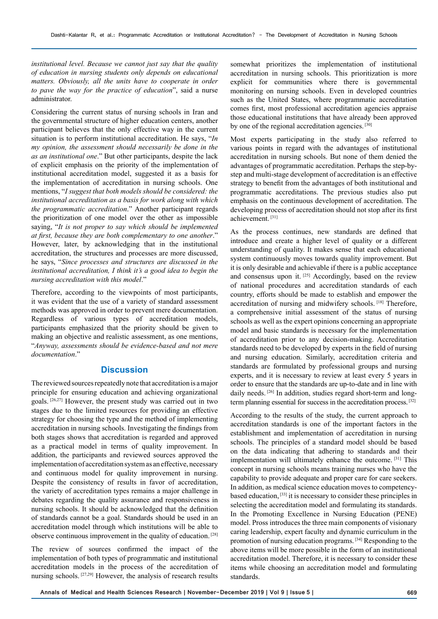*institutional level. Because we cannot just say that the quality of education in nursing students only depends on educational matters. Obviously, all the units have to cooperate in order to pave the way for the practice of education*", said a nurse administrator.

Considering the current status of nursing schools in Iran and the governmental structure of higher education centers, another participant believes that the only effective way in the current situation is to perform institutional accreditation. He says, "*In my opinion, the assessment should necessarily be done in the as an institutional one*." But other participants, despite the lack of explicit emphasis on the priority of the implementation of institutional accreditation model, suggested it as a basis for the implementation of accreditation in nursing schools. One mentions, "*I suggest that both models should be considered: the institutional accreditation as a basis for work along with which the programmatic accreditation*." Another participant regards the prioritization of one model over the other as impossible saying, "*It is not proper to say which should be implemented at first, because they are both complementary to one another*." However, later, by acknowledging that in the institutional accreditation, the structures and processes are more discussed, he says, "*Since processes and structures are discussed in the institutional accreditation, I think it's a good idea to begin the nursing accreditation with this model*."

Therefore, according to the viewpoints of most participants, it was evident that the use of a variety of standard assessment methods was approved in order to prevent mere documentation. Regardless of various types of accreditation models, participants emphasized that the priority should be given to making an objective and realistic assessment, as one mentions, "*Anyway, assessments should be evidence-based and not mere documentation*."

# **Discussion**

The reviewed sources repeatedly note that accreditation is a major principle for ensuring education and achieving organizational goals. [26,27] However, the present study was carried out in two stages due to the limited resources for providing an effective strategy for choosing the type and the method of implementing accreditation in nursing schools. Investigating the findings from both stages shows that accreditation is regarded and approved as a practical model in terms of quality improvement. In addition, the participants and reviewed sources approved the implementation of accreditation system as an effective, necessary and continuous model for quality improvement in nursing. Despite the consistency of results in favor of accreditation, the variety of accreditation types remains a major challenge in debates regarding the quality assurance and responsiveness in nursing schools. It should be acknowledged that the definition of standards cannot be a goal. Standards should be used in an accreditation model through which institutions will be able to observe continuous improvement in the quality of education. [28]

The review of sources confirmed the impact of the implementation of both types of programmatic and institutional accreditation models in the process of the accreditation of nursing schools. <sup>[27,29]</sup> However, the analysis of research results

somewhat prioritizes the implementation of institutional accreditation in nursing schools. This prioritization is more explicit for communities where there is governmental monitoring on nursing schools. Even in developed countries such as the United States, where programmatic accreditation comes first, most professional accreditation agencies appraise those educational institutions that have already been approved by one of the regional accreditation agencies. <sup>[30]</sup>

Most experts participating in the study also referred to various points in regard with the advantages of institutional accreditation in nursing schools. But none of them denied the advantages of programmatic accreditation. Perhaps the step-bystep and multi-stage development of accreditation is an effective strategy to benefit from the advantages of both institutional and programmatic accreditations. The previous studies also put emphasis on the continuous development of accreditation. The developing process of accreditation should not stop after its first achievement. [31]

As the process continues, new standards are defined that introduce and create a higher level of quality or a different understanding of quality. It makes sense that each educational system continuously moves towards quality improvement. But it is only desirable and achievable if there is a public acceptance and consensus upon it. [25] Accordingly, based on the review of national procedures and accreditation standards of each country, efforts should be made to establish and empower the accreditation of nursing and midwifery schools. [18] Therefore, a comprehensive initial assessment of the status of nursing schools as well as the expert opinions concerning an appropriate model and basic standards is necessary for the implementation of accreditation prior to any decision-making. Accreditation standards need to be developed by experts in the field of nursing and nursing education. Similarly, accreditation criteria and standards are formulated by professional groups and nursing experts, and it is necessary to review at least every 5 years in order to ensure that the standards are up-to-date and in line with daily needs. <a>[26]</a> In addition, studies regard short-term and longterm planning essential for success in the accreditation process. [32]

According to the results of the study, the current approach to accreditation standards is one of the important factors in the establishment and implementation of accreditation in nursing schools. The principles of a standard model should be based on the data indicating that adhering to standards and their implementation will ultimately enhance the outcome. [31] This concept in nursing schools means training nurses who have the capability to provide adequate and proper care for care seekers. In addition, as medical science education moves to competencybased education, [33] it is necessary to consider these principles in selecting the accreditation model and formulating its standards. In the Promoting Excellence in Nursing Education (PENE) model. Pross introduces the three main components of visionary caring leadership, expert faculty and dynamic curriculum in the promotion of nursing education programs. [34] Responding to the above items will be more possible in the form of an institutional accreditation model. Therefore, it is necessary to consider these items while choosing an accreditation model and formulating standards.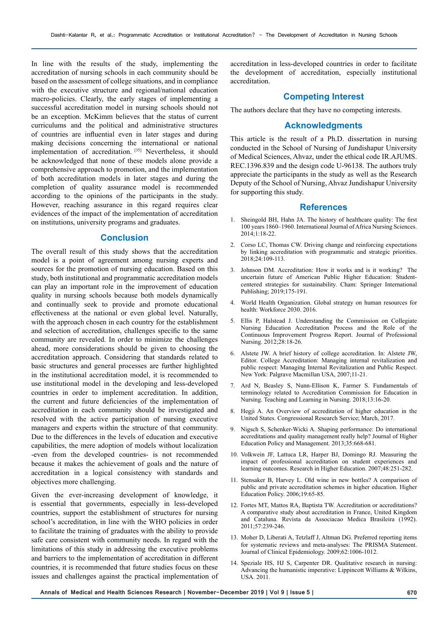In line with the results of the study, implementing the accreditation of nursing schools in each community should be based on the assessment of college situations, and in compliance with the executive structure and regional/national education macro-policies. Clearly, the early stages of implementing a successful accreditation model in nursing schools should not be an exception. McKimm believes that the status of current curriculums and the political and administrative structures of countries are influential even in later stages and during making decisions concerning the international or national implementation of accreditation. [35] Nevertheless, it should be acknowledged that none of these models alone provide a comprehensive approach to promotion, and the implementation of both accreditation models in later stages and during the completion of quality assurance model is recommended according to the opinions of the participants in the study. However, reaching assurance in this regard requires clear evidences of the impact of the implementation of accreditation on institutions, university programs and graduates.

# **Conclusion**

The overall result of this study shows that the accreditation model is a point of agreement among nursing experts and sources for the promotion of nursing education. Based on this study, both institutional and programmatic accreditation models can play an important role in the improvement of education quality in nursing schools because both models dynamically and continually seek to provide and promote educational effectiveness at the national or even global level. Naturally, with the approach chosen in each country for the establishment and selection of accreditation, challenges specific to the same community are revealed. In order to minimize the challenges ahead, more considerations should be given to choosing the accreditation approach. Considering that standards related to basic structures and general processes are further highlighted in the institutional accreditation model, it is recommended to use institutional model in the developing and less-developed countries in order to implement accreditation. In addition, the current and future deficiencies of the implementation of accreditation in each community should be investigated and resolved with the active participation of nursing executive managers and experts within the structure of that community. Due to the differences in the levels of education and executive capabilities, the mere adoption of models without localization -even from the developed countries- is not recommended because it makes the achievement of goals and the nature of accreditation in a logical consistency with standards and objectives more challenging.

Given the ever-increasing development of knowledge, it is essential that governments, especially in less-developed countries, support the establishment of structures for nursing school's accreditation, in line with the WHO policies in order to facilitate the training of graduates with the ability to provide safe care consistent with community needs. In regard with the limitations of this study in addressing the executive problems and barriers to the implementation of accreditation in different countries, it is recommended that future studies focus on these issues and challenges against the practical implementation of

accreditation in less-developed countries in order to facilitate the development of accreditation, especially institutional accreditation.

### **Competing Interest**

The authors declare that they have no competing interests.

## **Acknowledgments**

This article is the result of a Ph.D. dissertation in nursing conducted in the School of Nursing of Jundishapur University of Medical Sciences, Ahvaz, under the ethical code IR.AJUMS. REC.1396.839 and the design code U-96138. The authors truly appreciate the participants in the study as well as the Research Deputy of the School of Nursing, Ahvaz Jundishapur University for supporting this study.

#### **References**

- 1. Sheingold BH, Hahn JA. The history of healthcare quality: The first 100 years 1860–1960. International Journal of Africa Nursing Sciences. 2014;1:18-22.
- 2. Corso LC, Thomas CW. Driving change and reinforcing expectations by linking accreditation with programmatic and strategic priorities. 2018;24:109-113.
- 3. Johnson DM. Accreditation: How it works and is it working? The uncertain future of American Public Higher Education: Studentcentered strategies for sustainability. Cham: Springer International Publishing; 2019;175-191.
- 4. World Health Organization. Global strategy on human resources for health: Workforce 2030. 2016.
- 5. Ellis P, Halstead J. Understanding the Commission on Collegiate Nursing Education Accreditation Process and the Role of the Continuous Improvement Progress Report. Journal of Professional Nursing. 2012;28:18-26.
- 6. Alstete JW. A brief history of college accreditation. In: Alstete JW, Editor. College Accreditation: Managing internal revitalization and public respect: Managing Internal Revitalization and Public Respect. New York: Palgrave Macmillan USA, 2007;11-21.
- 7. Ard N, Beasley S, Nunn-Ellison K, Farmer S. Fundamentals of terminology related to Accreditation Commission for Education in Nursing. Teaching and Learning in Nursing. 2018;13:16-20.
- 8. Hegji A. An Overview of accreditation of higher education in the United States. Congressional Research Service; March, 2017.
- 9. Nigsch S, Schenker-Wicki A. Shaping performance: Do international accreditations and quality management really help? Journal of Higher Education Policy and Management. 2013;35:668-681.
- 10. Volkwein JF, Lattuca LR, Harper BJ, Domingo RJ. Measuring the impact of professional accreditation on student experiences and learning outcomes. Research in Higher Education. 2007;48:251-282.
- 11. Stensaker B, Harvey L. Old wine in new bottles? A comparison of public and private accreditation schemes in higher education. Higher Education Policy. 2006;19:65-85.
- 12. Fortes MT, Mattos RA, Baptista TW. Accreditation or accreditations? A comparative study about accreditation in France, United Kingdom and Cataluna. Revista da Associacao Medica Brasileira (1992). 2011;57:239-246.
- 13. Moher D, Liberati A, Tetzlaff J, Altman DG. Preferred reporting items for systematic reviews and meta-analyses: The PRISMA Statement. Journal of Clinical Epidemiology. 2009;62:1006-1012.
- 14. Speziale HS, HJ S, Carpenter DR. Qualitative research in nursing: Advancing the humanistic imperative: Lippincott Williams & Wilkins, USA. 2011.